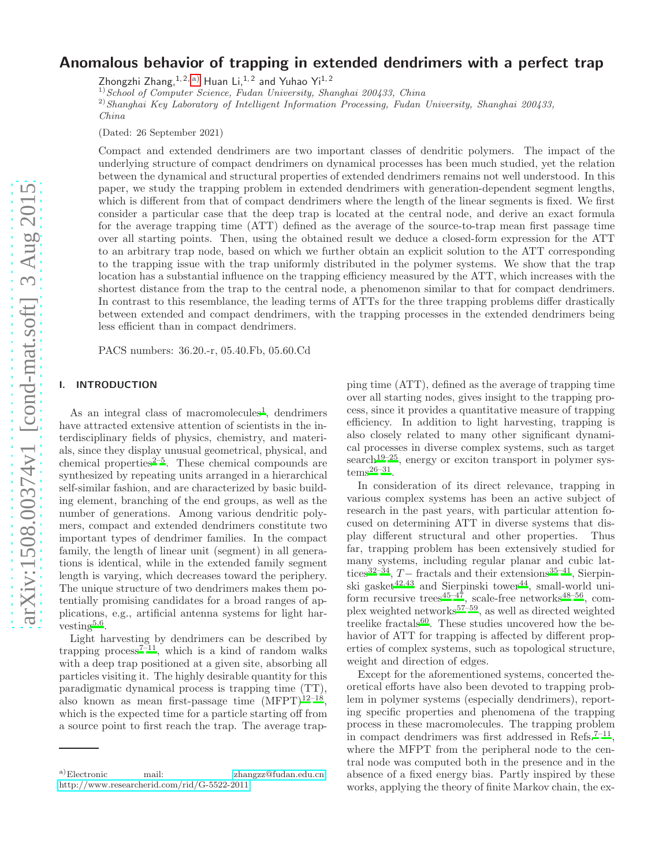# Anomalous behavior of trapping in extended dendrimers with a perfect trap

Zhongzhi Zhang,  $1, 2, a$ ) Huan Li,  $1, 2$  and Yuhao Yi $1, 2$ 

 $(1)$ School of Computer Science, Fudan University, Shanghai 200433, China

<sup>2)</sup> Shanghai Key Laboratory of Intelligent Information Processing, Fudan University, Shanghai 200433, China

(Dated: 26 September 2021)

Compact and extended dendrimers are two important classes of dendritic polymers. The impact of the underlying structure of compact dendrimers on dynamical processes has been much studied, yet the relation between the dynamical and structural properties of extended dendrimers remains not well understood. In this paper, we study the trapping problem in extended dendrimers with generation-dependent segment lengths, which is different from that of compact dendrimers where the length of the linear segments is fixed. We first consider a particular case that the deep trap is located at the central node, and derive an exact formula for the average trapping time (ATT) defined as the average of the source-to-trap mean first passage time over all starting points. Then, using the obtained result we deduce a closed-form expression for the ATT to an arbitrary trap node, based on which we further obtain an explicit solution to the ATT corresponding to the trapping issue with the trap uniformly distributed in the polymer systems. We show that the trap location has a substantial influence on the trapping efficiency measured by the ATT, which increases with the shortest distance from the trap to the central node, a phenomenon similar to that for compact dendrimers. In contrast to this resemblance, the leading terms of ATTs for the three trapping problems differ drastically between extended and compact dendrimers, with the trapping processes in the extended dendrimers being less efficient than in compact dendrimers.

PACS numbers: 36.20.-r, 05.40.Fb, 05.60.Cd

## I. INTRODUCTION

As an integral class of macromolecules<sup>[1](#page-8-0)</sup>, dendrimers have attracted extensive attention of scientists in the interdisciplinary fields of physics, chemistry, and materials, since they display unusual geometrical, physical, and chemical properties $2-5$  $2-5$ . These chemical compounds are synthesized by repeating units arranged in a hierarchical self-similar fashion, and are characterized by basic building element, branching of the end groups, as well as the number of generations. Among various dendritic polymers, compact and extended dendrimers constitute two important types of dendrimer families. In the compact family, the length of linear unit (segment) in all generations is identical, while in the extended family segment length is varying, which decreases toward the periphery. The unique structure of two dendrimers makes them potentially promising candidates for a broad ranges of applications, e.g., artificial antenna systems for light har-vesting<sup>[5](#page-8-2)[,6](#page-8-3)</sup>.

Light harvesting by dendrimers can be described by trapping process<sup> $7-11$  $7-11$ </sup>, which is a kind of random walks with a deep trap positioned at a given site, absorbing all particles visiting it. The highly desirable quantity for this paradigmatic dynamical process is trapping time (TT), also known as mean first-passage time  $(MFPT)^{12-18}$  $(MFPT)^{12-18}$  $(MFPT)^{12-18}$ , which is the expected time for a particle starting off from a source point to first reach the trap. The average trap-

ping time (ATT), defined as the average of trapping time over all starting nodes, gives insight to the trapping process, since it provides a quantitative measure of trapping efficiency. In addition to light harvesting, trapping is also closely related to many other significant dynamical processes in diverse complex systems, such as target  $search<sup>19–25</sup>$  $search<sup>19–25</sup>$  $search<sup>19–25</sup>$  $search<sup>19–25</sup>$ , energy or exciton transport in polymer sys- $tems^{26-31}$  $tems^{26-31}$  $tems^{26-31}$ .

In consideration of its direct relevance, trapping in various complex systems has been an active subject of research in the past years, with particular attention focused on determining ATT in diverse systems that display different structural and other properties. Thus far, trapping problem has been extensively studied for many systems, including regular planar and cubic lat-tices<sup>[32](#page-8-12)[–34](#page-8-13)</sup>,  $T-$  fractals and their extensions<sup>[35](#page-8-14)[–41](#page-8-15)</sup>, Sierpinski gasket $42,43$  $42,43$  and Sierpinski tower $44$ , small-world uni-form recursive trees<sup>[45](#page-8-19)[–47](#page-8-20)</sup>, scale-free networks<sup>[48](#page-8-21)[–56](#page-9-0)</sup>, com-plex weighted networks<sup>[57](#page-9-1)[–59](#page-9-2)</sup>, as well as directed weighted treelike fractals<sup>[60](#page-9-3)</sup>. These studies uncovered how the behavior of ATT for trapping is affected by different properties of complex systems, such as topological structure, weight and direction of edges.

Except for the aforementioned systems, concerted theoretical efforts have also been devoted to trapping problem in polymer systems (especially dendrimers), reporting specific properties and phenomena of the trapping process in these macromolecules. The trapping problem in compact dendrimers was first addressed in Refs.<sup> $7-11$  $7-11$ </sup>, where the MFPT from the peripheral node to the central node was computed both in the presence and in the absence of a fixed energy bias. Partly inspired by these works, applying the theory of finite Markov chain, the ex-

<span id="page-0-0"></span>a)Electronic mail: [zhangzz@fudan.edu.cn;](mailto:zhangzz@fudan.edu.cn) <http://www.researcherid.com/rid/G-5522-2011>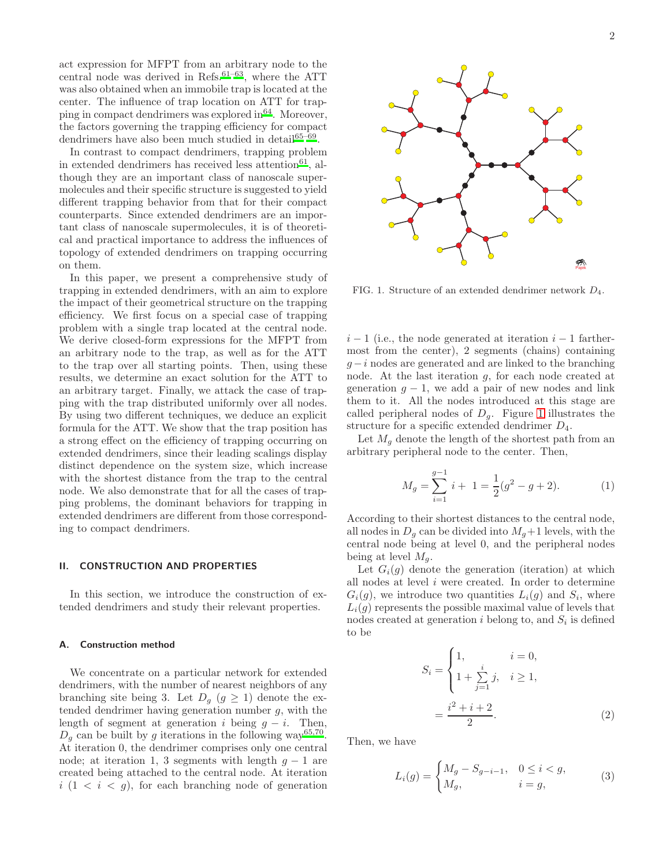act expression for MFPT from an arbitrary node to the central node was derived in Refs. $61-63$  $61-63$ , where the ATT was also obtained when an immobile trap is located at the center. The influence of trap location on ATT for trapping in compact dendrimers was explored in  $64$ . Moreover, the factors governing the trapping efficiency for compact dendrimers have also been much studied in detail<sup>[65](#page-9-7)[–69](#page-9-8)</sup>.

In contrast to compact dendrimers, trapping problem in extended dendrimers has received less attention<sup>[61](#page-9-4)</sup>, although they are an important class of nanoscale supermolecules and their specific structure is suggested to yield different trapping behavior from that for their compact counterparts. Since extended dendrimers are an important class of nanoscale supermolecules, it is of theoretical and practical importance to address the influences of topology of extended dendrimers on trapping occurring on them.

In this paper, we present a comprehensive study of trapping in extended dendrimers, with an aim to explore the impact of their geometrical structure on the trapping efficiency. We first focus on a special case of trapping problem with a single trap located at the central node. We derive closed-form expressions for the MFPT from an arbitrary node to the trap, as well as for the ATT to the trap over all starting points. Then, using these results, we determine an exact solution for the ATT to an arbitrary target. Finally, we attack the case of trapping with the trap distributed uniformly over all nodes. By using two different techniques, we deduce an explicit formula for the ATT. We show that the trap position has a strong effect on the efficiency of trapping occurring on extended dendrimers, since their leading scalings display distinct dependence on the system size, which increase with the shortest distance from the trap to the central node. We also demonstrate that for all the cases of trapping problems, the dominant behaviors for trapping in extended dendrimers are different from those corresponding to compact dendrimers.

## II. CONSTRUCTION AND PROPERTIES

In this section, we introduce the construction of extended dendrimers and study their relevant properties.

## A. Construction method

We concentrate on a particular network for extended dendrimers, with the number of nearest neighbors of any branching site being 3. Let  $D_g$   $(g \ge 1)$  denote the extended dendrimer having generation number  $q$ , with the length of segment at generation i being  $g - i$ . Then,  $D_g$  can be built by g iterations in the following way<sup>[65](#page-9-7)[,70](#page-9-9)</sup>. At iteration 0, the dendrimer comprises only one central node; at iteration 1, 3 segments with length  $g - 1$  are created being attached to the central node. At iteration  $i (1 \lt i \lt g)$ , for each branching node of generation



<span id="page-1-0"></span>FIG. 1. Structure of an extended dendrimer network  $D_4$ .

 $i-1$  (i.e., the node generated at iteration  $i-1$  farthermost from the center), 2 segments (chains) containing  $q - i$  nodes are generated and are linked to the branching node. At the last iteration g, for each node created at generation  $g - 1$ , we add a pair of new nodes and link them to it. All the nodes introduced at this stage are called peripheral nodes of  $D_q$ . Figure [1](#page-1-0) illustrates the structure for a specific extended dendrimer  $D_4$ .

Let  $M_q$  denote the length of the shortest path from an arbitrary peripheral node to the center. Then,

$$
M_g = \sum_{i=1}^{g-1} i + 1 = \frac{1}{2}(g^2 - g + 2). \tag{1}
$$

According to their shortest distances to the central node, all nodes in  $D_q$  can be divided into  $M_q+1$  levels, with the central node being at level 0, and the peripheral nodes being at level  $M_g$ .

Let  $G_i(g)$  denote the generation (iteration) at which all nodes at level  $i$  were created. In order to determine  $G_i(g)$ , we introduce two quantities  $L_i(g)$  and  $S_i$ , where  $L_i(g)$  represents the possible maximal value of levels that nodes created at generation  $i$  belong to, and  $S_i$  is defined to be

$$
S_i = \begin{cases} 1, & i = 0, \\ 1 + \sum_{j=1}^{i} j, & i \ge 1, \end{cases}
$$

$$
= \frac{i^2 + i + 2}{2}.
$$
 (2)

Then, we have

$$
L_i(g) = \begin{cases} M_g - S_{g-i-1}, & 0 \le i < g, \\ M_g, & i = g, \end{cases}
$$
 (3)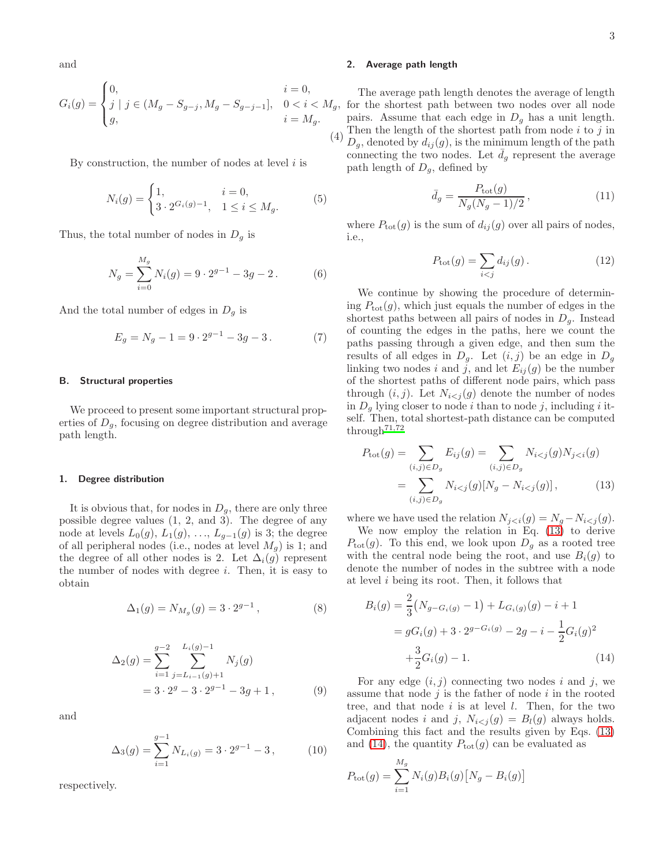and

$$
G_i(g) = \begin{cases} 0, & i = 0, \\ j \mid j \in (M_g - S_{g-j}, M_g - S_{g-j-1}], & 0 < i < M_g, \\ g, & i = M_g. \end{cases}
$$

By construction, the number of nodes at level  $i$  is

$$
N_i(g) = \begin{cases} 1, & i = 0, \\ 3 \cdot 2^{G_i(g) - 1}, & 1 \le i \le M_g. \end{cases}
$$
 (5)

Thus, the total number of nodes in  $D_q$  is

<span id="page-2-4"></span>
$$
N_g = \sum_{i=0}^{M_g} N_i(g) = 9 \cdot 2^{g-1} - 3g - 2.
$$
 (6)

And the total number of edges in  $D_q$  is

$$
E_g = N_g - 1 = 9 \cdot 2^{g-1} - 3g - 3. \tag{7}
$$

## B. Structural properties

We proceed to present some important structural properties of  $D<sub>g</sub>$ , focusing on degree distribution and average path length.

#### 1. Degree distribution

It is obvious that, for nodes in  $D_g$ , there are only three possible degree values (1, 2, and 3). The degree of any node at levels  $L_0(g)$ ,  $L_1(g)$ , ...,  $L_{g-1}(g)$  is 3; the degree of all peripheral nodes (i.e., nodes at level  $M_g$ ) is 1; and the degree of all other nodes is 2. Let  $\Delta_i(g)$  represent the number of nodes with degree i. Then, it is easy to obtain

$$
\Delta_1(g) = N_{M_g}(g) = 3 \cdot 2^{g-1}, \tag{8}
$$

$$
\Delta_2(g) = \sum_{i=1}^{g-2} \sum_{j=L_{i-1}(g)+1}^{L_i(g)-1} N_j(g)
$$
  
=  $3 \cdot 2^g - 3 \cdot 2^{g-1} - 3g + 1,$  (9)

and

<span id="page-2-6"></span>
$$
\Delta_3(g) = \sum_{i=1}^{g-1} N_{L_i(g)} = 3 \cdot 2^{g-1} - 3, \quad (10)
$$

respectively.

## 2. Average path length

(4) The average path length denotes the average of length  $f_q$ , for the shortest path between two nodes over all node pairs. Assume that each edge in  $D<sub>g</sub>$  has a unit length. Then the length of the shortest path from node  $i$  to  $j$  in  $D_g$ , denoted by  $d_{ij}(g)$ , is the minimum length of the path connecting the two nodes. Let  $\bar{d}_g$  represent the average path length of  $D_g$ , defined by

<span id="page-2-3"></span>
$$
\bar{d}_g = \frac{P_{\text{tot}}(g)}{N_g(N_g - 1)/2},\tag{11}
$$

where  $P_{\text{tot}}(g)$  is the sum of  $d_{ij}(g)$  over all pairs of nodes, i.e.,

<span id="page-2-5"></span>
$$
P_{\text{tot}}(g) = \sum_{i < j} d_{ij}(g). \tag{12}
$$

We continue by showing the procedure of determining  $P_{\text{tot}}(g)$ , which just equals the number of edges in the shortest paths between all pairs of nodes in  $D<sub>g</sub>$ . Instead of counting the edges in the paths, here we count the paths passing through a given edge, and then sum the results of all edges in  $D_q$ . Let  $(i, j)$  be an edge in  $D_q$ linking two nodes i and j, and let  $E_{ii}(q)$  be the number of the shortest paths of different node pairs, which pass through  $(i, j)$ . Let  $N_{i \leq j} (g)$  denote the number of nodes in  $D_q$  lying closer to node i than to node j, including i itself. Then, total shortest-path distance can be computed through $71,72$  $71,72$ 

<span id="page-2-0"></span>
$$
P_{\text{tot}}(g) = \sum_{(i,j)\in D_g} E_{ij}(g) = \sum_{(i,j)\in D_g} N_{i < j}(g) N_{j < i}(g)
$$
\n
$$
= \sum_{(i,j)\in D_g} N_{i < j}(g) [N_g - N_{i < j}(g)],\tag{13}
$$

where we have used the relation  $N_{j < i}(g) = N_g - N_{i < j}(g)$ .

We now employ the relation in Eq. [\(13\)](#page-2-0) to derive  $P_{\text{tot}}(g)$ . To this end, we look upon  $D_q$  as a rooted tree with the central node being the root, and use  $B_i(g)$  to denote the number of nodes in the subtree with a node at level  $i$  being its root. Then, it follows that

<span id="page-2-1"></span>
$$
B_i(g) = \frac{2}{3}(N_{g-G_i(g)} - 1) + L_{G_i(g)}(g) - i + 1
$$
  
=  $gG_i(g) + 3 \cdot 2^{g-G_i(g)} - 2g - i - \frac{1}{2}G_i(g)^2$   
+  $\frac{3}{2}G_i(g) - 1.$  (14)

For any edge  $(i, j)$  connecting two nodes i and j, we assume that node  $j$  is the father of node  $i$  in the rooted tree, and that node  $i$  is at level  $l$ . Then, for the two adjacent nodes i and j,  $N_{i < j}(g) = B_i(g)$  always holds. Combining this fact and the results given by Eqs. [\(13\)](#page-2-0) and [\(14\)](#page-2-1), the quantity  $P_{\text{tot}}(g)$  can be evaluated as

<span id="page-2-2"></span>
$$
P_{\text{tot}}(g) = \sum_{i=1}^{M_g} N_i(g) B_i(g) [N_g - B_i(g)]
$$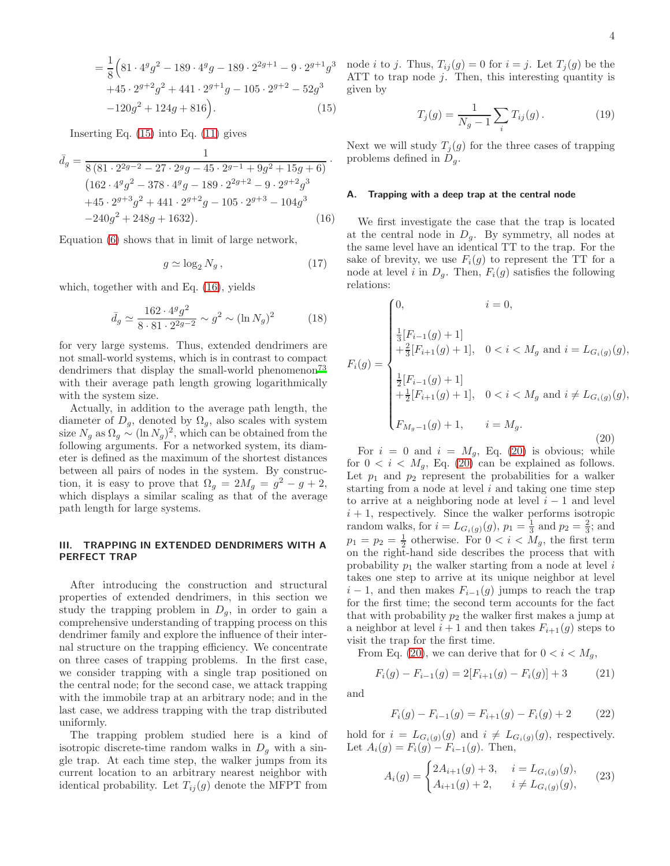$$
= \frac{1}{8} \Big( 81 \cdot 4^{g} g^{2} - 189 \cdot 4^{g} g - 189 \cdot 2^{2g+1} - 9 \cdot 2^{g+1} g^{3} + 45 \cdot 2^{g+2} g^{2} + 441 \cdot 2^{g+1} g - 105 \cdot 2^{g+2} - 52 g^{3} - 120 g^{2} + 124 g + 816 \Big).
$$
 (15)

Inserting Eq. [\(15\)](#page-2-2) into Eq. [\(11\)](#page-2-3) gives

<span id="page-3-0"></span>
$$
\bar{d}_g = \frac{1}{8(81 \cdot 2^{2g-2} - 27 \cdot 2^g g - 45 \cdot 2^{g-1} + 9g^2 + 15g + 6)} \cdot (162 \cdot 4^g g^2 - 378 \cdot 4^g g - 189 \cdot 2^{2g+2} - 9 \cdot 2^{g+2} g^3 + 45 \cdot 2^{g+3} g^2 + 441 \cdot 2^{g+2} g - 105 \cdot 2^{g+3} - 104g^3 - 240g^2 + 248g + 1632). \tag{16}
$$

Equation [\(6\)](#page-2-4) shows that in limit of large network,

$$
g \simeq \log_2 N_g \,, \tag{17}
$$

which, together with and Eq. [\(16\)](#page-3-0), yields

$$
\bar{d}_g \simeq \frac{162 \cdot 4^g g^2}{8 \cdot 81 \cdot 2^{2g-2}} \sim g^2 \sim (\ln N_g)^2 \tag{18}
$$

for very large systems. Thus, extended dendrimers are not small-world systems, which is in contrast to compact dendrimers that display the small-world phenomenon<sup>[73](#page-9-12)</sup> with their average path length growing logarithmically with the system size.

Actually, in addition to the average path length, the diameter of  $D_g$ , denoted by  $\Omega_g$ , also scales with system size  $N_g$  as  $\Omega_g \sim (\ln N_g)^2$ , which can be obtained from the following arguments. For a networked system, its diameter is defined as the maximum of the shortest distances between all pairs of nodes in the system. By construction, it is easy to prove that  $\Omega_g = 2M_g = g^2 - g + 2$ , which displays a similar scaling as that of the average path length for large systems.

## III. TRAPPING IN EXTENDED DENDRIMERS WITH A PERFECT TRAP

After introducing the construction and structural properties of extended dendrimers, in this section we study the trapping problem in  $D_q$ , in order to gain a comprehensive understanding of trapping process on this dendrimer family and explore the influence of their internal structure on the trapping efficiency. We concentrate on three cases of trapping problems. In the first case, we consider trapping with a single trap positioned on the central node; for the second case, we attack trapping with the immobile trap at an arbitrary node; and in the last case, we address trapping with the trap distributed uniformly.

The trapping problem studied here is a kind of isotropic discrete-time random walks in  $D_q$  with a single trap. At each time step, the walker jumps from its current location to an arbitrary nearest neighbor with identical probability. Let  $T_{ij}(g)$  denote the MFPT from

3 node *i* to *j*. Thus,  $T_{ij}(g) = 0$  for  $i = j$ . Let  $T_j(g)$  be the ATT to trap node j. Then, this interesting quantity is given by

<span id="page-3-3"></span>
$$
T_j(g) = \frac{1}{N_g - 1} \sum_i T_{ij}(g).
$$
 (19)

Next we will study  $T_i(g)$  for the three cases of trapping problems defined in  $D_q$ .

#### <span id="page-3-4"></span>A. Trapping with a deep trap at the central node

We first investigate the case that the trap is located at the central node in  $D_q$ . By symmetry, all nodes at the same level have an identical TT to the trap. For the sake of brevity, we use  $F_i(g)$  to represent the TT for a node at level i in  $D<sub>g</sub>$ . Then,  $F<sub>i</sub>(g)$  satisfies the following relations:

<span id="page-3-1"></span>
$$
F_i(g) = \begin{cases} 0, & i = 0, \\ \frac{1}{3}[F_{i-1}(g) + 1] \\ + \frac{2}{3}[F_{i+1}(g) + 1], & 0 < i < M_g \text{ and } i = L_{G_i(g)}(g), \\ \frac{1}{2}[F_{i-1}(g) + 1] \\ + \frac{1}{2}[F_{i+1}(g) + 1], & 0 < i < M_g \text{ and } i \neq L_{G_i(g)}(g), \\ F_{M_g - 1}(g) + 1, & i = M_g. \end{cases}
$$
(20)

For  $i = 0$  and  $i = M<sub>q</sub>$ , Eq. [\(20\)](#page-3-1) is obvious; while for  $0 < i < M<sub>g</sub>$ , Eq. [\(20\)](#page-3-1) can be explained as follows. Let  $p_1$  and  $p_2$  represent the probabilities for a walker starting from a node at level  $i$  and taking one time step to arrive at a neighboring node at level  $i - 1$  and level  $i + 1$ , respectively. Since the walker performs isotropic random walks, for  $i = L_{G_i(g)}(g)$ ,  $p_1 = \frac{1}{3}$  and  $p_2 = \frac{2}{3}$ ; and  $p_1 = p_2 = \frac{1}{2}$  otherwise. For  $0 < i < M_g$ , the first term on the right-hand side describes the process that with probability  $p_1$  the walker starting from a node at level i takes one step to arrive at its unique neighbor at level  $i-1$ , and then makes  $F_{i-1}(g)$  jumps to reach the trap for the first time; the second term accounts for the fact that with probability  $p_2$  the walker first makes a jump at a neighbor at level  $i + 1$  and then takes  $F_{i+1}(g)$  steps to visit the trap for the first time.

From Eq. [\(20\)](#page-3-1), we can derive that for  $0 < i < M_q$ ,

$$
F_i(g) - F_{i-1}(g) = 2[F_{i+1}(g) - F_i(g)] + 3 \tag{21}
$$

and

$$
F_i(g) - F_{i-1}(g) = F_{i+1}(g) - F_i(g) + 2 \tag{22}
$$

hold for  $i = L_{G_i(q)}(g)$  and  $i \neq L_{G_i(q)}(g)$ , respectively. Let  $A_i(g) = F_i(g) - F_{i-1}(g)$ . Then,

<span id="page-3-2"></span>
$$
A_i(g) = \begin{cases} 2A_{i+1}(g) + 3, & i = L_{G_i(g)}(g), \\ A_{i+1}(g) + 2, & i \neq L_{G_i(g)}(g), \end{cases}
$$
 (23)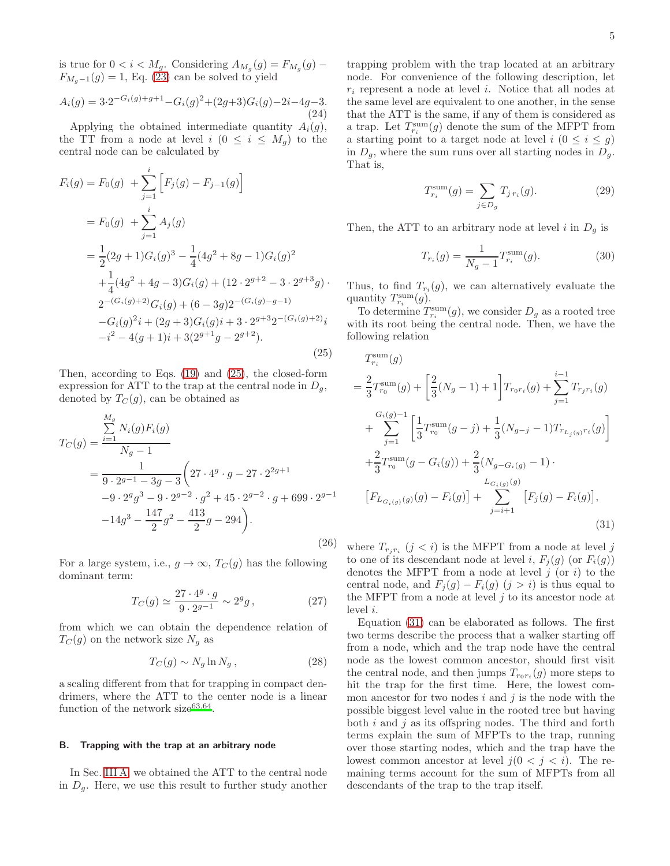is true for  $0 < i < M_g$ . Considering  $A_{M_g}(g) = F_{M_g}(g)$  –  $F_{M_g-1}(g) = 1$ , Eq. [\(23\)](#page-3-2) can be solved to yield

$$
A_i(g) = 3 \cdot 2^{-G_i(g) + g + 1} - G_i(g)^2 + (2g + 3)G_i(g) - 2i - 4g - 3.
$$
\n(24)

Applying the obtained intermediate quantity  $A_i(g)$ , the TT from a node at level  $i$   $(0 \leq i \leq M_q)$  to the central node can be calculated by

<span id="page-4-0"></span>
$$
F_i(g) = F_0(g) + \sum_{j=1}^i \left[ F_j(g) - F_{j-1}(g) \right]
$$
  
=  $F_0(g) + \sum_{j=1}^i A_j(g)$   
=  $\frac{1}{2}(2g+1)G_i(g)^3 - \frac{1}{4}(4g^2 + 8g - 1)G_i(g)^2$   
+  $\frac{1}{4}(4g^2 + 4g - 3)G_i(g) + (12 \cdot 2^{g+2} - 3 \cdot 2^{g+3}g) \cdot 2^{-(G_i(g)+2)}G_i(g) + (6-3g)2^{-(G_i(g)-g-1)}- G_i(g)^2 i + (2g+3)G_i(g) i + 3 \cdot 2^{g+3}2^{-(G_i(g)+2)}i-i^2 - 4(g+1)i + 3(2^{g+1}g - 2^{g+2}). (25)$ 

Then, according to Eqs. [\(19\)](#page-3-3) and [\(25\)](#page-4-0), the closed-form expression for ATT to the trap at the central node in  $D_q$ , denoted by  $T_C(g)$ , can be obtained as

<span id="page-4-2"></span>
$$
T_C(g) = \frac{\sum_{i=1}^{M_g} N_i(g) F_i(g)}{N_g - 1}
$$
  
= 
$$
\frac{1}{9 \cdot 2^{g-1} - 3g - 3} \left( 27 \cdot 4^g \cdot g - 27 \cdot 2^{2g+1} -9 \cdot 2^g g^3 - 9 \cdot 2^{g-2} \cdot g^2 + 45 \cdot 2^{g-2} \cdot g + 699 \cdot 2^{g-1} -14g^3 - \frac{147}{2}g^2 - \frac{413}{2}g - 294 \right).
$$
 (26)

For a large system, i.e.,  $g \to \infty$ ,  $T_C(g)$  has the following dominant term:

$$
T_C(g) \simeq \frac{27 \cdot 4^g \cdot g}{9 \cdot 2^{g-1}} \sim 2^g g, \qquad (27)
$$

from which we can obtain the dependence relation of  $T_C(g)$  on the network size  $N_g$  as

<span id="page-4-5"></span>
$$
T_C(g) \sim N_g \ln N_g \,, \tag{28}
$$

a scaling different from that for trapping in compact dendrimers, where the ATT to the center node is a linear function of the network  $size^{63,64}$  $size^{63,64}$  $size^{63,64}$  $size^{63,64}$ .

## <span id="page-4-4"></span>B. Trapping with the trap at an arbitrary node

In Sec. [III A,](#page-3-4) we obtained the ATT to the central node in  $D_q$ . Here, we use this result to further study another

trapping problem with the trap located at an arbitrary node. For convenience of the following description, let  $r_i$  represent a node at level i. Notice that all nodes at the same level are equivalent to one another, in the sense that the ATT is the same, if any of them is considered as a trap. Let  $T_{r_i}^{\text{sum}}(g)$  denote the sum of the MFPT from a starting point to a target node at level  $i$   $(0 \leq i \leq g)$ in  $D_g$ , where the sum runs over all starting nodes in  $D_g$ . That is,

$$
T_{r_i}^{\text{sum}}(g) = \sum_{j \in D_g} T_{j \, r_i}(g). \tag{29}
$$

Then, the ATT to an arbitrary node at level i in  $D_g$  is

<span id="page-4-3"></span>
$$
T_{r_i}(g) = \frac{1}{N_g - 1} T_{r_i}^{\text{sum}}(g). \tag{30}
$$

Thus, to find  $T_{r_i}(g)$ , we can alternatively evaluate the quantity  $T_{r_i}^{\text{sum}}(g)$ .

To determine  $T_{r_i}^{\text{sum}}(g)$ , we consider  $D_g$  as a rooted tree with its root being the central node. Then, we have the following relation

<span id="page-4-1"></span>
$$
T_{r_i}^{\text{sum}}(g)
$$
  
=  $\frac{2}{3} T_{r_0}^{\text{sum}}(g) + \left[\frac{2}{3}(N_g - 1) + 1\right] T_{r_0 r_i}(g) + \sum_{j=1}^{i-1} T_{r_j r_i}(g)$   
+  $\sum_{j=1}^{G_i(g)-1} \left[\frac{1}{3} T_{r_0}^{\text{sum}}(g - j) + \frac{1}{3}(N_{g-j} - 1) T_{r_{L_j(g)}r_i}(g)\right]$   
+  $\frac{2}{3} T_{r_0}^{\text{sum}}(g - G_i(g)) + \frac{2}{3}(N_{g-G_i(g)} - 1)$   

$$
[F_{L_{G_i(g)}}(g)(g) - F_i(g)] + \sum_{j=i+1}^{L_{G_i(g)}(g)} [F_j(g) - F_i(g)],
$$
(31)

where  $T_{r_j r_i}$   $(j < i)$  is the MFPT from a node at level j to one of its descendant node at level i,  $F_i(g)$  (or  $F_i(g)$ ) denotes the MFPT from a node at level  $j$  (or  $i$ ) to the central node, and  $F_i(g) - F_i(g)$   $(j > i)$  is thus equal to the MFPT from a node at level  $i$  to its ancestor node at level i.

Equation [\(31\)](#page-4-1) can be elaborated as follows. The first two terms describe the process that a walker starting off from a node, which and the trap node have the central node as the lowest common ancestor, should first visit the central node, and then jumps  $T_{r_0r_i}(g)$  more steps to hit the trap for the first time. Here, the lowest common ancestor for two nodes  $i$  and  $j$  is the node with the possible biggest level value in the rooted tree but having both  $i$  and  $j$  as its offspring nodes. The third and forth terms explain the sum of MFPTs to the trap, running over those starting nodes, which and the trap have the lowest common ancestor at level  $j(0 \lt j \lt i)$ . The remaining terms account for the sum of MFPTs from all descendants of the trap to the trap itself.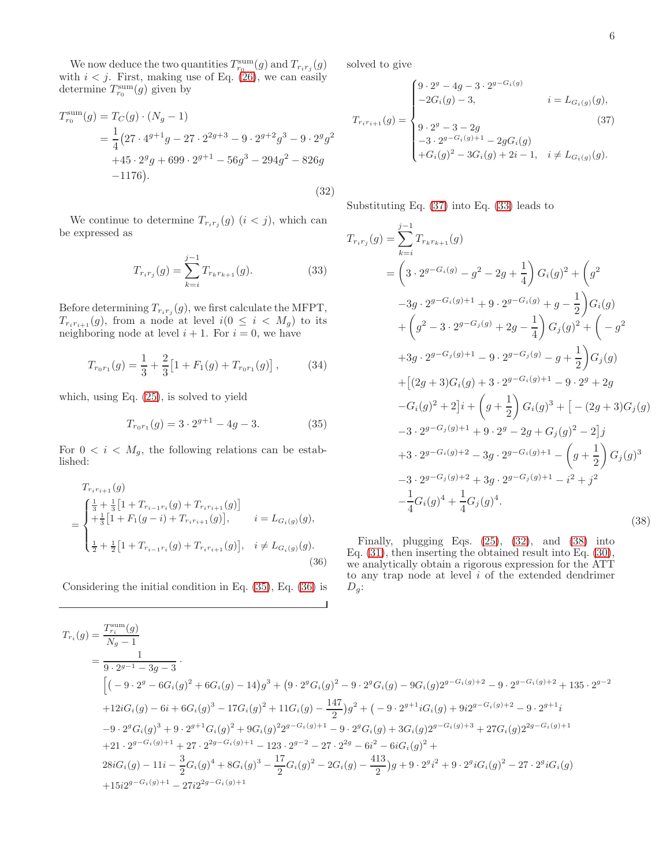We now deduce the two quantities  $T_{r_0}^{\text{sum}}(g)$  and  $T_{r_ir_j}(g)$ with  $i < j$ . First, making use of Eq. [\(26\)](#page-4-2), we can easily determine  $T_{r_0}^{\text{sum}}(g)$  given by

<span id="page-5-4"></span>
$$
T_{r_0}^{\text{sum}}(g) = T_C(g) \cdot (N_g - 1)
$$
  
=  $\frac{1}{4} (27 \cdot 4^{g+1}g - 27 \cdot 2^{2g+3} - 9 \cdot 2^{g+2}g^3 - 9 \cdot 2^g g^2$   
+45 \cdot 2^g g + 699 \cdot 2^{g+1} - 56g^3 - 294g^2 - 826g  
-1176). (32)

We continue to determine  $T_{r_i r_j}(g)$   $(i < j)$ , which can be expressed as

<span id="page-5-3"></span>
$$
T_{r_i r_j}(g) = \sum_{k=i}^{j-1} T_{r_k r_{k+1}}(g).
$$
 (33)

Before determining  $T_{r_i r_j}(g)$ , we first calculate the MFPT,  $T_{r_i r_{i+1}}(g)$ , from a node at level  $i(0 \leq i \leq M_g)$  to its neighboring node at level  $i + 1$ . For  $i = 0$ , we have

$$
T_{r_0r_1}(g) = \frac{1}{3} + \frac{2}{3} \left[ 1 + F_1(g) + T_{r_0r_1}(g) \right],
$$
 (34)

which, using Eq. [\(25\)](#page-4-0), is solved to yield

<span id="page-5-0"></span>
$$
T_{r_0r_1}(g) = 3 \cdot 2^{g+1} - 4g - 3. \tag{35}
$$

For  $0 < i < M_g$ , the following relations can be established:

<span id="page-5-1"></span>
$$
T_{r_{i}r_{i+1}}(g)
$$
\n
$$
= \begin{cases}\n\frac{1}{3} + \frac{1}{3} \left[ 1 + T_{r_{i-1}r_i}(g) + T_{r_{i}r_{i+1}}(g) \right] \\
+ \frac{1}{3} \left[ 1 + F_1(g - i) + T_{r_{i}r_{i+1}}(g) \right], \qquad i = L_{G_i(g)}(g), \\
\frac{1}{2} + \frac{1}{2} \left[ 1 + T_{r_{i-1}r_i}(g) + T_{r_{i}r_{i+1}}(g) \right], \quad i \neq L_{G_i(g)}(g).\n\end{cases}
$$
\n(36)

Considering the initial condition in Eq. [\(35\)](#page-5-0), Eq. [\(36\)](#page-5-1) is

solved to give

<span id="page-5-2"></span>
$$
T_{r_ir_{i+1}}(g) = \begin{cases} 9 \cdot 2^{g} - 4g - 3 \cdot 2^{g - G_i(g)} \\ -2G_i(g) - 3, & i = L_{G_i(g)}(g), \\ 9 \cdot 2^{g} - 3 - 2g \\ -3 \cdot 2^{g - G_i(g) + 1} - 2gG_i(g) \\ +G_i(g)^2 - 3G_i(g) + 2i - 1, & i \neq L_{G_i(g)}(g). \end{cases}
$$
(37)

Substituting Eq. [\(37\)](#page-5-2) into Eq. [\(33\)](#page-5-3) leads to

<span id="page-5-5"></span>
$$
T_{r_ir_j}(g) = \sum_{k=i}^{j-1} T_{r_kr_{k+1}}(g)
$$
  
=  $\left(3 \cdot 2^{g-G_i(g)} - g^2 - 2g + \frac{1}{4}\right) G_i(g)^2 + \left(g^2$   
 $-3g \cdot 2^{g-G_i(g)+1} + 9 \cdot 2^{g-G_i(g)} + g - \frac{1}{2}\right) G_i(g)$   
+  $\left(g^2 - 3 \cdot 2^{g-G_j(g)} + 2g - \frac{1}{4}\right) G_j(g)^2 + \left(-g^2$   
+  $3g \cdot 2^{g-G_j(g)+1} - 9 \cdot 2^{g-G_j(g)} - g + \frac{1}{2}\right) G_j(g)$   
+  $\left[(2g+3)G_i(g) + 3 \cdot 2^{g-G_i(g)+1} - 9 \cdot 2^g + 2g$   
 $-G_i(g)^2 + 2\right]i + \left(g + \frac{1}{2}\right) G_i(g)^3 + \left[-(2g+3)G_j(g)\right]$   
-  $3 \cdot 2^{g-G_j(g)+1} + 9 \cdot 2^g - 2g + G_j(g)^2 - 2\right]j$   
+  $3 \cdot 2^{g-G_i(g)+2} - 3g \cdot 2^{g-G_i(g)+1} - \left(g + \frac{1}{2}\right) G_j(g)^3$   
-  $3 \cdot 2^{g-G_j(g)+2} + 3g \cdot 2^{g-G_j(g)+1} - i^2 + j^2$   
-  $\frac{1}{4}G_i(g)^4 + \frac{1}{4}G_j(g)^4.$  (38)

Finally, plugging Eqs. [\(25\)](#page-4-0), [\(32\)](#page-5-4), and [\(38\)](#page-5-5) into Eq. [\(31\)](#page-4-1), then inserting the obtained result into Eq. [\(30\)](#page-4-3), we analytically obtain a rigorous expression for the ATT to any trap node at level  $i$  of the extended dendrimer  $D_q$ :

<span id="page-5-6"></span>
$$
T_{r_i}(g) = \frac{T_{r_i}^{\text{sum}}(g)}{N_g - 1}
$$
  
\n
$$
= \frac{1}{9 \cdot 2^{g-1} - 3g - 3}
$$
  
\n
$$
\left[ \left( -9 \cdot 2^g - 6G_i(g)^2 + 6G_i(g) - 14 \right)g^3 + \left( 9 \cdot 2^g G_i(g)^2 - 9 \cdot 2^g G_i(g) - 9G_i(g)2^{g-G_i(g)+2} - 9 \cdot 2^{g-G_i(g)+2} + 135 \cdot 2^{g-2} \right)g^2 + 12iG_i(g) - 6i + 6G_i(g)^3 - 17G_i(g)^2 + 11G_i(g) - \frac{147}{2} \right)g^2 + \left( -9 \cdot 2^{g+1}iG_i(g) + 9i2^{g-G_i(g)+2} - 9 \cdot 2^{g+1}i \right)g^2 + 21 \cdot 2^{g-G_i(g)+1} + 27 \cdot 2^{2g-G_i(g)+1} - 123 \cdot 2^{g-2} - 27 \cdot 2^{2g} - 6i^2 - 6iG_i(g)^2 + 3G_i(g)2^{g-G_i(g)+3} + 27G_i(g)2^{2g-G_i(g)+1} + 28iG_i(g) - 11i - \frac{3}{2}G_i(g)^4 + 8G_i(g)^3 - \frac{17}{2}G_i(g)^2 - 2G_i(g) - \frac{413}{2} \right)g + 9 \cdot 2^g i^2 + 9 \cdot 2^g iG_i(g)^2 - 27 \cdot 2^g iG_i(g) + 1 - 27i2^{2g-G_i(g)+1} - 27i2^{2g-G_i(g)+1} - 27i2^{2g-G_i(g)+1} - 27i2^{2g-G_i(g)+1} - 27i2^{2g-G_i(g)+1} - 27i2^{2g-G_i(g)+1} - 27i2^{2g-G_i(g)+1} - 27i2^{2g-G_i(g)+1} - 27i2^{2g-G_i(g)+1} - 27i2^{2g-G_i(g)+1} - 27i2^{2g-G_i(g)+1} - 27i2^{2g-G_i(g)+1} - 27i2^{2g-G_i(g)+1} - 27i2^{2g-G_i(g)+1} - 27i2^{2g-G_i(g)+1} - 27i2^{2g
$$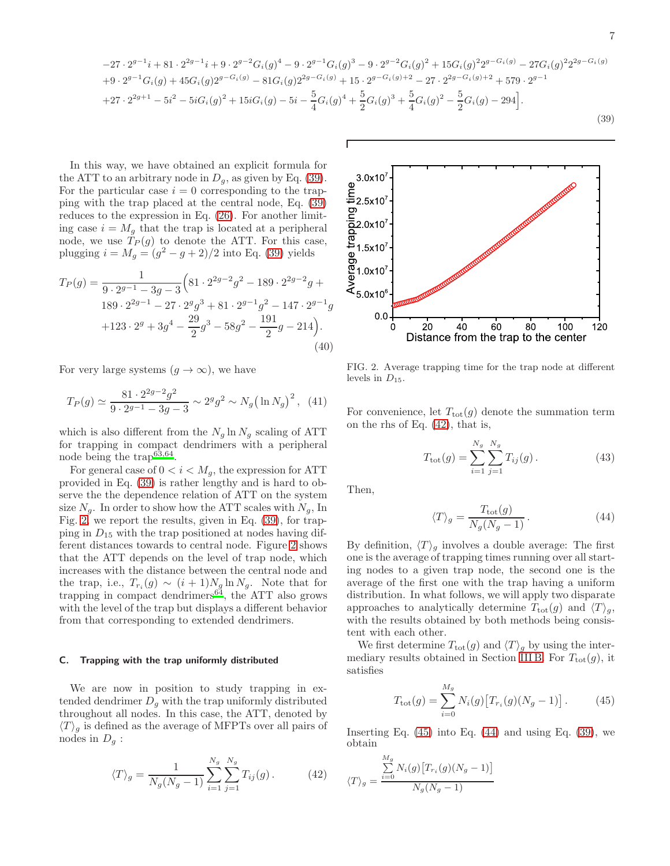$$
-27 \cdot 2^{g-1}i + 81 \cdot 2^{2g-1}i + 9 \cdot 2^{g-2}G_i(g)^4 - 9 \cdot 2^{g-1}G_i(g)^3 - 9 \cdot 2^{g-2}G_i(g)^2 + 15G_i(g)^2 2^{g-G_i(g)} - 27G_i(g)^2 2^{2g-G_i(g)}
$$
  
+9 \cdot 2^{g-1}G\_i(g) + 45G\_i(g)2^{g-G\_i(g)} - 81G\_i(g)2^{2g-G\_i(g)} + 15 \cdot 2^{g-G\_i(g)+2} - 27 \cdot 2^{2g-G\_i(g)+2} + 579 \cdot 2^{g-1}  
+27 \cdot 2^{2g+1} - 5i^2 - 5iG\_i(g)^2 + 15iG\_i(g) - 5i - \frac{5}{4}G\_i(g)^4 + \frac{5}{2}G\_i(g)^3 + \frac{5}{4}G\_i(g)^2 - \frac{5}{2}G\_i(g) - 294.\n(39)

In this way, we have obtained an explicit formula for the ATT to an arbitrary node in  $D_q$ , as given by Eq. [\(39\)](#page-5-6). For the particular case  $i = 0$  corresponding to the trapping with the trap placed at the central node, Eq. [\(39\)](#page-5-6) reduces to the expression in Eq. [\(26\)](#page-4-2). For another limiting case  $i = M<sub>g</sub>$  that the trap is located at a peripheral node, we use  $T_P(g)$  to denote the ATT. For this case, plugging  $i = M_g = (g^2 - g + 2)/2$  into Eq. [\(39\)](#page-5-6) yields

$$
T_P(g) = \frac{1}{9 \cdot 2^{g-1} - 3g - 3} \left( 81 \cdot 2^{2g-2} g^2 - 189 \cdot 2^{2g-2} g + 189 \cdot 2^{2g-1} - 27 \cdot 2^g g^3 + 81 \cdot 2^{g-1} g^2 - 147 \cdot 2^{g-1} g + 123 \cdot 2^g + 3g^4 - \frac{29}{2} g^3 - 58g^2 - \frac{191}{2} g - 214 \right).
$$
\n(40)

For very large systems  $(q \to \infty)$ , we have

<span id="page-6-6"></span>
$$
T_P(g) \simeq \frac{81 \cdot 2^{2g-2}g^2}{9 \cdot 2^{g-1} - 3g - 3} \sim 2^g g^2 \sim N_g \left(\ln N_g\right)^2, \tag{41}
$$

which is also different from the  $N_g \ln N_g$  scaling of ATT for trapping in compact dendrimers with a peripheral node being the trap<sup>[63](#page-9-5)[,64](#page-9-6)</sup>.

For general case of  $0 < i < M_g$ , the expression for ATT provided in Eq. [\(39\)](#page-5-6) is rather lengthy and is hard to observe the the dependence relation of ATT on the system size  $N_g$ . In order to show how the ATT scales with  $N_g$ , In Fig. [2,](#page-6-0) we report the results, given in Eq. [\(39\)](#page-5-6), for trapping in  $D_{15}$  with the trap positioned at nodes having different distances towards to central node. Figure [2](#page-6-0) shows that the ATT depends on the level of trap node, which increases with the distance between the central node and the trap, i.e.,  $T_{r_i}(g) \sim (i+1)N_g \ln N_g$ . Note that for trapping in compact dendrimers<sup>[64](#page-9-6)</sup>, the ATT also grows with the level of the trap but displays a different behavior from that corresponding to extended dendrimers.

## C. Trapping with the trap uniformly distributed

We are now in position to study trapping in extended dendrimer  $D<sub>g</sub>$  with the trap uniformly distributed throughout all nodes. In this case, the ATT, denoted by  $\langle T \rangle_g$  is defined as the average of MFPTs over all pairs of nodes in  $D_q$ :

<span id="page-6-1"></span>
$$
\langle T \rangle_g = \frac{1}{N_g(N_g - 1)} \sum_{i=1}^{N_g} \sum_{j=1}^{N_g} T_{ij}(g). \tag{42}
$$



<span id="page-6-0"></span>FIG. 2. Average trapping time for the trap node at different levels in  $D_{15}$ .

For convenience, let  $T_{\text{tot}}(g)$  denote the summation term on the rhs of Eq. [\(42\)](#page-6-1), that is,

<span id="page-6-4"></span>
$$
T_{\text{tot}}(g) = \sum_{i=1}^{N_g} \sum_{j=1}^{N_g} T_{ij}(g). \tag{43}
$$

Then,

<span id="page-6-3"></span>
$$
\langle T \rangle_g = \frac{T_{\text{tot}}(g)}{N_g(N_g - 1)}.
$$
\n(44)

By definition,  $\langle T \rangle_g$  involves a double average: The first one is the average of trapping times running over all starting nodes to a given trap node, the second one is the average of the first one with the trap having a uniform distribution. In what follows, we will apply two disparate approaches to analytically determine  $T_{\text{tot}}(g)$  and  $\langle T \rangle_g$ , with the results obtained by both methods being consistent with each other.

We first determine  $T_{\text{tot}}(g)$  and  $\langle T \rangle_g$  by using the inter-mediary results obtained in Section [III B.](#page-4-4) For  $T_{\text{tot}}(g)$ , it satisfies

<span id="page-6-2"></span>
$$
T_{\text{tot}}(g) = \sum_{i=0}^{M_g} N_i(g) \left[ T_{r_i}(g)(N_g - 1) \right]. \tag{45}
$$

Inserting Eq.  $(45)$  into Eq.  $(44)$  and using Eq.  $(39)$ , we obtain

<span id="page-6-5"></span>
$$
\langle T \rangle_g = \frac{\sum_{i=0}^{M_g} N_i(g) \big[ T_{r_i}(g) (N_g - 1) \big]}{N_g(N_g - 1)}
$$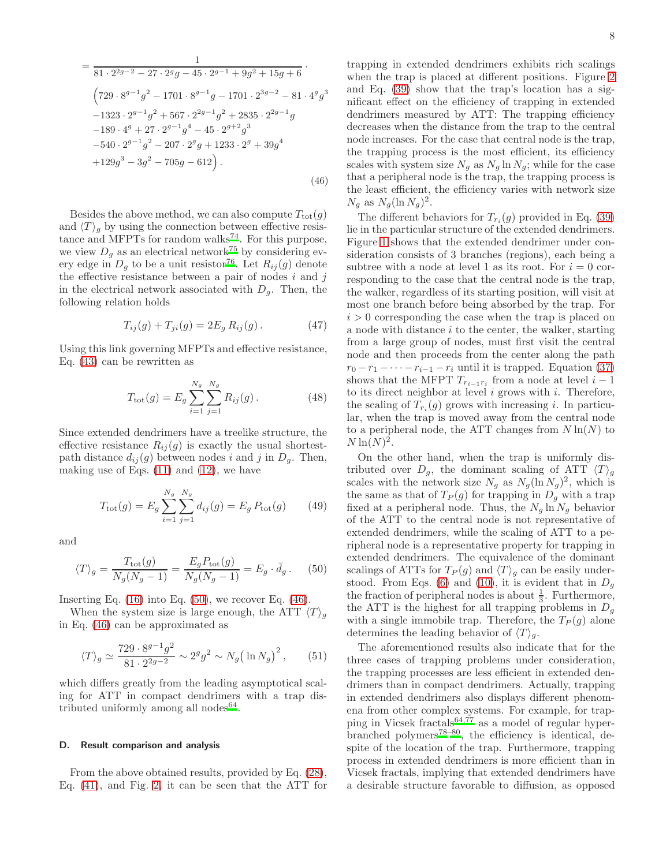$$
= \frac{1}{81 \cdot 2^{2g-2} - 27 \cdot 2^g g - 45 \cdot 2^{g-1} + 9g^2 + 15g + 6}
$$
  
\n
$$
\left(729 \cdot 8^{g-1}g^2 - 1701 \cdot 8^{g-1}g - 1701 \cdot 2^{3g-2} - 81 \cdot 4^g g^3 -1323 \cdot 2^{g-1}g^2 + 567 \cdot 2^{2g-1}g^2 + 2835 \cdot 2^{2g-1}g -189 \cdot 4^g + 27 \cdot 2^{g-1}g^4 - 45 \cdot 2^{g+2}g^3 -540 \cdot 2^{g-1}g^2 - 207 \cdot 2^g g + 1233 \cdot 2^g + 39g^4 +129g^3 - 3g^2 - 705g - 612\right).
$$
  
\n(46)

Besides the above method, we can also compute  $T_{\text{tot}}(g)$ and  $\langle T \rangle_q$  by using the connection between effective resis-tance and MFPTs for random walks<sup>[74](#page-9-13)</sup>. For this purpose, we view  $D_g$  as an electrical network<sup>[75](#page-9-14)</sup> by considering every edge in  $D_g$  to be a unit resistor<sup>[76](#page-9-15)</sup>. Let  $R_{ij}(g)$  denote the effective resistance between a pair of nodes  $i$  and  $j$ in the electrical network associated with  $D_q$ . Then, the following relation holds

$$
T_{ij}(g) + T_{ji}(g) = 2E_g R_{ij}(g).
$$
 (47)

Using this link governing MFPTs and effective resistance, Eq. [\(43\)](#page-6-4) can be rewritten as

$$
T_{\text{tot}}(g) = E_g \sum_{i=1}^{N_g} \sum_{j=1}^{N_g} R_{ij}(g) \,. \tag{48}
$$

Since extended dendrimers have a treelike structure, the effective resistance  $R_{ij}(g)$  is exactly the usual shortestpath distance  $d_{ij}(q)$  between nodes i and j in  $D_q$ . Then, making use of Eqs.  $(11)$  and  $(12)$ , we have

$$
T_{\text{tot}}(g) = E_g \sum_{i=1}^{N_g} \sum_{j=1}^{N_g} d_{ij}(g) = E_g P_{\text{tot}}(g) \qquad (49)
$$

and

<span id="page-7-0"></span>
$$
\langle T \rangle_g = \frac{T_{\text{tot}}(g)}{N_g(N_g - 1)} = \frac{E_g P_{\text{tot}}(g)}{N_g(N_g - 1)} = E_g \cdot \bar{d}_g. \tag{50}
$$

Inserting Eq.  $(16)$  into Eq.  $(50)$ , we recover Eq.  $(46)$ .

When the system size is large enough, the ATT  $\langle T \rangle_a$ in Eq. [\(46\)](#page-6-5) can be approximated as

$$
\langle T \rangle_g \simeq \frac{729 \cdot 8^{g-1} g^2}{81 \cdot 2^{2g-2}} \sim 2^g g^2 \sim N_g \left( \ln N_g \right)^2, \qquad (51)
$$

which differs greatly from the leading asymptotical scaling for ATT in compact dendrimers with a trap distributed uniformly among all nodes  $64$ .

## D. Result comparison and analysis

From the above obtained results, provided by Eq. [\(28\)](#page-4-5), Eq. [\(41\)](#page-6-6), and Fig. [2,](#page-6-0) it can be seen that the ATT for trapping in extended dendrimers exhibits rich scalings when the trap is placed at different positions. Figure [2](#page-6-0) and Eq. [\(39\)](#page-5-6) show that the trap's location has a significant effect on the efficiency of trapping in extended dendrimers measured by ATT: The trapping efficiency decreases when the distance from the trap to the central node increases. For the case that central node is the trap, the trapping process is the most efficient, its efficiency scales with system size  $N_g$  as  $N_g \ln N_g$ ; while for the case that a peripheral node is the trap, the trapping process is the least efficient, the efficiency varies with network size  $N_g$  as  $N_g(\ln N_g)^2$ .

The different behaviors for  $T_{r_i}(g)$  provided in Eq. [\(39\)](#page-5-6) lie in the particular structure of the extended dendrimers. Figure [1](#page-1-0) shows that the extended dendrimer under consideration consists of 3 branches (regions), each being a subtree with a node at level 1 as its root. For  $i = 0$  corresponding to the case that the central node is the trap, the walker, regardless of its starting position, will visit at most one branch before being absorbed by the trap. For  $i > 0$  corresponding the case when the trap is placed on a node with distance  $i$  to the center, the walker, starting from a large group of nodes, must first visit the central node and then proceeds from the center along the path  $r_0 - r_1 - \cdots - r_{i-1} - r_i$  until it is trapped. Equation [\(37\)](#page-5-2) shows that the MFPT  $T_{r_{i-1}r_i}$  from a node at level  $i-1$ to its direct neighbor at level  $i$  grows with  $i$ . Therefore, the scaling of  $T_{r_i}(g)$  grows with increasing *i*. In particular, when the trap is moved away from the central node to a peripheral node, the ATT changes from  $N \ln(N)$  to  $N \ln(N)^2$ .

On the other hand, when the trap is uniformly distributed over  $D_g$ , the dominant scaling of ATT  $\langle T \rangle_g$ scales with the network size  $N_g$  as  $N_g(\ln N_g)^2$ , which is the same as that of  $T_P(g)$  for trapping in  $D_g$  with a trap fixed at a peripheral node. Thus, the  $N_g \ln N_g$  behavior of the ATT to the central node is not representative of extended dendrimers, while the scaling of ATT to a peripheral node is a representative property for trapping in extended dendrimers. The equivalence of the dominant scalings of ATTs for  $T_P(g)$  and  $\langle T \rangle_q$  can be easily under-stood. From Eqs. [\(6\)](#page-2-4) and [\(10\)](#page-2-6), it is evident that in  $D_g$ the fraction of peripheral nodes is about  $\frac{1}{3}$ . Furthermore, the ATT is the highest for all trapping problems in  $D<sub>g</sub>$ with a single immobile trap. Therefore, the  $T_P(g)$  alone determines the leading behavior of  $\langle T \rangle_q$ .

The aforementioned results also indicate that for the three cases of trapping problems under consideration, the trapping processes are less efficient in extended dendrimers than in compact dendrimers. Actually, trapping in extended dendrimers also displays different phenomena from other complex systems. For example, for trapping in Vicsek fractals $64,77$  $64,77$  as a model of regular hyper-branched polymers<sup>[78](#page-9-17)[–80](#page-9-18)</sup>, the efficiency is identical, despite of the location of the trap. Furthermore, trapping process in extended dendrimers is more efficient than in Vicsek fractals, implying that extended dendrimers have a desirable structure favorable to diffusion, as opposed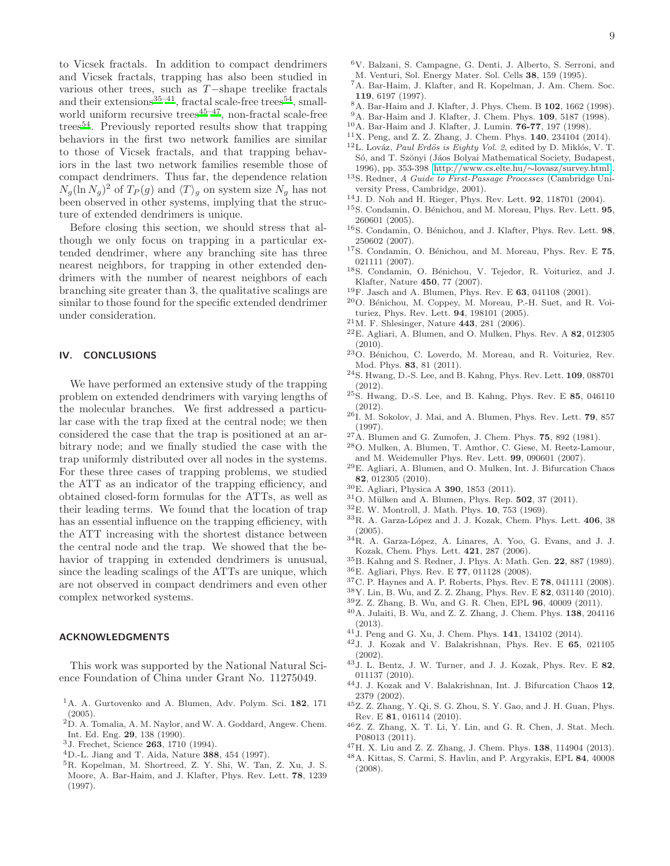to Vicsek fractals. In addition to compact dendrimers and Vicsek fractals, trapping has also been studied in various other trees, such as T−shape treelike fractals and their extensions<sup>[35](#page-8-14)-41</sup>, fractal scale-free trees<sup>[54](#page-9-19)</sup>, smallworld uniform recursive trees<sup> $45-47$  $45-47$ </sup>, non-fractal scale-free trees[54](#page-9-19). Previously reported results show that trapping behaviors in the first two network families are similar to those of Vicsek fractals, and that trapping behaviors in the last two network families resemble those of compact dendrimers. Thus far, the dependence relation  $N_g(\ln N_g)^2$  of  $T_P(g)$  and  $\langle T \rangle_g$  on system size  $N_g$  has not been observed in other systems, implying that the structure of extended dendrimers is unique.

Before closing this section, we should stress that although we only focus on trapping in a particular extended dendrimer, where any branching site has three nearest neighbors, for trapping in other extended dendrimers with the number of nearest neighbors of each branching site greater than 3, the qualitative scalings are similar to those found for the specific extended dendrimer under consideration.

## IV. CONCLUSIONS

We have performed an extensive study of the trapping problem on extended dendrimers with varying lengths of the molecular branches. We first addressed a particular case with the trap fixed at the central node; we then considered the case that the trap is positioned at an arbitrary node; and we finally studied the case with the trap uniformly distributed over all nodes in the systems. For these three cases of trapping problems, we studied the ATT as an indicator of the trapping efficiency, and obtained closed-form formulas for the ATTs, as well as their leading terms. We found that the location of trap has an essential influence on the trapping efficiency, with the ATT increasing with the shortest distance between the central node and the trap. We showed that the behavior of trapping in extended dendrimers is unusual, since the leading scalings of the ATTs are unique, which are not observed in compact dendrimers and even other complex networked systems.

## ACKNOWLEDGMENTS

This work was supported by the National Natural Science Foundation of China under Grant No. 11275049.

- <span id="page-8-0"></span><sup>1</sup>A. A. Gurtovenko and A. Blumen, Adv. Polym. Sci. 182, 171 (2005).
- <span id="page-8-1"></span><sup>2</sup>D. A. Tomalia, A. M. Naylor, and W. A. Goddard, Angew. Chem. Int. Ed. Eng. 29, 138 (1990).
- <sup>3</sup>J. Frechet, Science 263, 1710 (1994).
- <sup>4</sup>D.-L. Jiang and T. Aida, Nature 388, 454 (1997).
- <span id="page-8-2"></span><sup>5</sup>R. Kopelman, M. Shortreed, Z. Y. Shi, W. Tan, Z. Xu, J. S. Moore, A. Bar-Haim, and J. Klafter, Phys. Rev. Lett. 78, 1239 (1997).
- <span id="page-8-3"></span><sup>6</sup>V. Balzani, S. Campagne, G. Denti, J. Alberto, S. Serroni, and
- M. Venturi, Sol. Energy Mater. Sol. Cells 38, 159 (1995).
- <span id="page-8-4"></span><sup>7</sup>A. Bar-Haim, J. Klafter, and R. Kopelman, J. Am. Chem. Soc. 119, 6197 (1997).
- <sup>8</sup>A. Bar-Haim and J. Klafter, J. Phys. Chem. B 102, 1662 (1998).
- <sup>9</sup>A. Bar-Haim and J. Klafter, J. Chem. Phys. 109, 5187 (1998).
- <sup>10</sup>A. Bar-Haim and J. Klafter, J. Lumin. 76-77, 197 (1998).
- <span id="page-8-6"></span><span id="page-8-5"></span><sup>11</sup>X. Peng, and Z. Z. Zhang, J. Chem. Phys. 140, 234104 (2014).  $12$ L. Lováz, Paul Erdös is Eighty Vol. 2, edited by D. Miklós, V. T. Só, and T. Szönyi (Jáos Bolyai Mathematical Society, Budapest,
- 1996), pp. 353-398 [\[http://www.cs.elte.hu/](http://www.cs.elte.hu/~lovasz/survey.html)∼lovasz/survey.html]. <sup>13</sup>S. Redner, *A Guide to First-Passage Processes* (Cambridge University Press, Cambridge, 2001).
- <sup>14</sup>J. D. Noh and H. Rieger, Phys. Rev. Lett. 92, 118701 (2004).
- <sup>15</sup>S. Condamin, O. Bénichou, and M. Moreau, Phys. Rev. Lett. 95, 260601 (2005).
- $^{16}S.$  Condamin, O. Bénichou, and J. Klafter, Phys. Rev. Lett.  $98$ , 250602 (2007).
- <sup>17</sup>S. Condamin, O. Bénichou, and M. Moreau, Phys. Rev. E 75, 021111 (2007).
- <span id="page-8-7"></span><sup>18</sup>S. Condamin, O. Bénichou, V. Tejedor, R. Voituriez, and J. Klafter, Nature 450, 77 (2007).
- <span id="page-8-8"></span> $19F$ . Jasch and A. Blumen, Phys. Rev. E 63, 041108 (2001).
- <sup>20</sup>O. Bénichou, M. Coppey, M. Moreau, P.-H. Suet, and R. Voituriez, Phys. Rev. Lett. 94, 198101 (2005).
- <sup>21</sup>M. F. Shlesinger, Nature 443, 281 (2006).
- $22$ E. Agliari, A. Blumen, and O. Mulken, Phys. Rev. A  $82$ , 012305 (2010).
- <sup>23</sup>O. Bénichou, C. Loverdo, M. Moreau, and R. Voituriez, Rev. Mod. Phys. 83, 81 (2011).
- <sup>24</sup>S. Hwang, D.-S. Lee, and B. Kahng, Phys. Rev. Lett. 109, 088701 (2012).
- <span id="page-8-9"></span> $^{25}S.$  Hwang, D.-S. Lee, and B. Kahng, Phys. Rev. E  $\bf 85,$  046110 (2012).
- <span id="page-8-10"></span> $^{26}$ I. M. Sokolov, J. Mai, and A. Blumen, Phys. Rev. Lett. 79, 857 (1997).
- <sup>27</sup>A. Blumen and G. Zumofen, J. Chem. Phys. 75, 892 (1981).
- <sup>28</sup>O. Mulken, A. Blumen, T. Amthor, C. Giese, M. Reetz-Lamour, and M. Weidemuller Phys. Rev. Lett. 99, 090601 (2007).
- <sup>29</sup>E. Agliari, A. Blumen, and O. Mulken, Int. J. Bifurcation Chaos 82, 012305 (2010).
- <sup>30</sup>E. Agliari, Physica A 390, 1853 (2011).
- <span id="page-8-11"></span> $31$ O. Mülken and A. Blumen, Phys. Rep.  $502$ , 37 (2011).
- <span id="page-8-12"></span><sup>32</sup>E. W. Montroll, J. Math. Phys. 10, 753 (1969).
- $33R$ . A. Garza-López and J. J. Kozak, Chem. Phys. Lett. 406, 38 (2005).
- <span id="page-8-13"></span> $34R.$  A. Garza-López, A. Linares, A. Yoo, G. Evans, and J. J. Kozak, Chem. Phys. Lett. 421, 287 (2006).
- <span id="page-8-14"></span><sup>35</sup>B. Kahng and S. Redner, J. Phys. A: Math. Gen. 22, 887 (1989).
- <sup>36</sup>E. Agliari, Phys. Rev. E 77, 011128 (2008).
- $37$ C. P. Haynes and A. P. Roberts, Phys. Rev. E 78, 041111 (2008).
- <sup>38</sup>Y. Lin, B. Wu, and Z. Z. Zhang, Phys. Rev. E 82, 031140 (2010).
- <sup>39</sup>Z. Z. Zhang, B. Wu, and G. R. Chen, EPL 96, 40009 (2011).
- <sup>40</sup>A. Julaiti, B. Wu, and Z. Z. Zhang, J. Chem. Phys. 138, 204116 (2013).
- <span id="page-8-15"></span><sup>41</sup>J. Peng and G. Xu, J. Chem. Phys. 141, 134102 (2014).
- <span id="page-8-16"></span><sup>42</sup>J. J. Kozak and V. Balakrishnan, Phys. Rev. E 65, 021105 (2002).
- <span id="page-8-17"></span><sup>43</sup>J. L. Bentz, J. W. Turner, and J. J. Kozak, Phys. Rev. E 82, 011137 (2010).
- <span id="page-8-18"></span><sup>44</sup>J. J. Kozak and V. Balakrishnan, Int. J. Bifurcation Chaos 12, 2379 (2002).
- <span id="page-8-19"></span><sup>45</sup>Z. Z. Zhang, Y. Qi, S. G. Zhou, S. Y. Gao, and J. H. Guan, Phys. Rev. E 81, 016114 (2010).
- <sup>46</sup>Z. Z. Zhang, X. T. Li, Y. Lin, and G. R. Chen, J. Stat. Mech. P08013 (2011).
- <span id="page-8-20"></span><sup>47</sup>H. X. Liu and Z. Z. Zhang, J. Chem. Phys. 138, 114904 (2013).
- <span id="page-8-21"></span><sup>48</sup>A. Kittas, S. Carmi, S. Havlin, and P. Argyrakis, EPL 84, 40008 (2008).